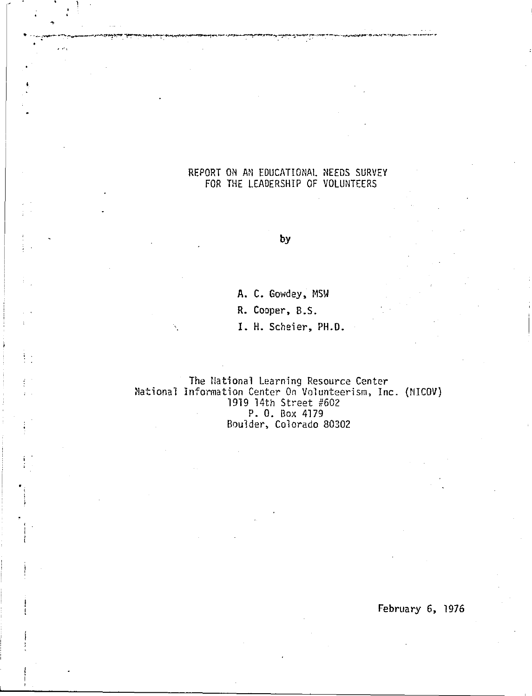# REPORT ON AN EDUCATIONAL NEEDS SURVEY FOR THE LEADERSHIP OF VOLUNTEERS

 $\mathcal{L}(\mathcal{A})$ 

 $\frac{1}{2}$ 

# **by**

**A.** C. Gowdey, MSW

**R.** Cooper, B.S.

I. H. Scheier, PH.O.

The !lational Learning Resource Center National Information Center On Volunteerism, Inc. (MICOV) 1919 14th Street #602 P. 0. Box 4179 Boulder, Colorado 80302

February 6, 1976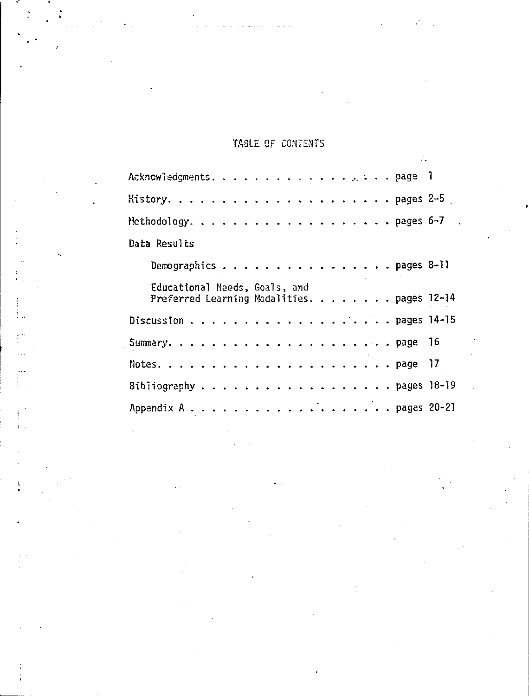# TABLE OF CONTENTS

|              |                               |  |  |  |  |  |  |  |  |  |  | Acknowledgments. page 1                    |  |
|--------------|-------------------------------|--|--|--|--|--|--|--|--|--|--|--------------------------------------------|--|
|              |                               |  |  |  |  |  |  |  |  |  |  |                                            |  |
|              |                               |  |  |  |  |  |  |  |  |  |  |                                            |  |
| Data Results |                               |  |  |  |  |  |  |  |  |  |  |                                            |  |
|              |                               |  |  |  |  |  |  |  |  |  |  | Demographics pages 8-11                    |  |
|              |                               |  |  |  |  |  |  |  |  |  |  |                                            |  |
|              | Educational Meeds, Goals, and |  |  |  |  |  |  |  |  |  |  | Preferred Learning Modalities. pages 12-14 |  |
|              |                               |  |  |  |  |  |  |  |  |  |  |                                            |  |
|              |                               |  |  |  |  |  |  |  |  |  |  |                                            |  |
|              |                               |  |  |  |  |  |  |  |  |  |  |                                            |  |
|              |                               |  |  |  |  |  |  |  |  |  |  | Bibliography pages $18-19$                 |  |
|              |                               |  |  |  |  |  |  |  |  |  |  |                                            |  |

 $\begin{bmatrix} 1 \\ 1 \\ 1 \end{bmatrix}$ 

 $\mathbf{r}$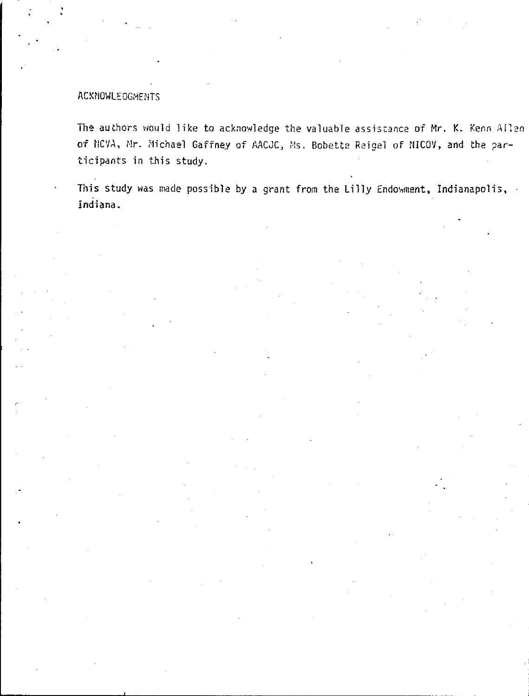# ACKNOWLEDGMENTS

The authors would like to acknowledge the valuable assistance of Mr. K. Kenn Allen of NCVA, Mr. Michael Gaffney of AACJC, Ms. Bobette Reigel of NICOV, and the participants in this study.

This study was made possible by a grant from the Lilly Endowment, Indianapolis, Indiana.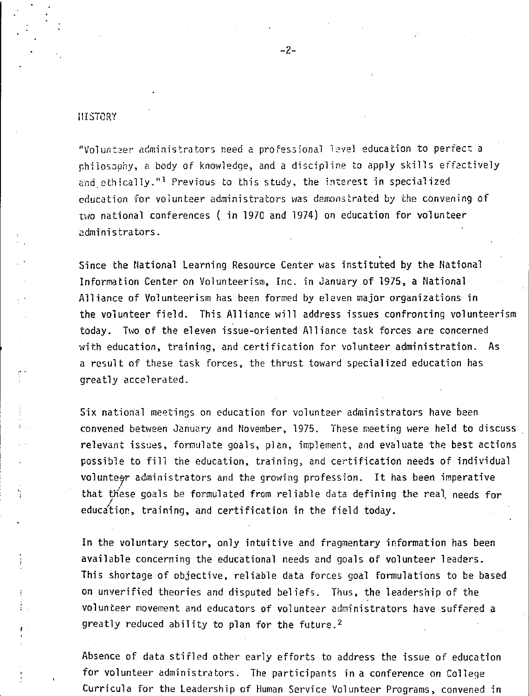#### III STORY

"Volunteer administrators need a professional level education to perfect a philosophy, a body of knowledge, and a discipline to apply skills effectively and ethically."<sup>1</sup> Previous to this study, the interest in specialized education for volunteer administrators was demonstrated by the convening of two national conferences ( in 1970 and 1974) on education for volunteer administrators.

Since the National Learning Resource Center was instituted by the National Information Center on Volunteerism, Inc. in January of 1975, a National Alliance of Volunteerism has been formed by eleven major organizations in the volunteer field. This Alliance will address issues confronting volunteerism today. Two of the eleven issue-oriented Alliance task forces are concerned with education, training, and certification for volunteer administration. As a result of these task forces, the thrust toward specialized education has greatly accelerated.

Six national meetings on education for volunteer administrators have been convened between January and November, 1975. These meeting were held to discuss relevant issues, formulate goals, plan, implement, and evaluate the best actions possible to fill the education, training, and certification needs of individual voluntegr administrators and the growing profession. It has been imperative that these goals be formulated from reliable data defining the real needs for education, training, and certification in the field today.

In the voluntary sector, only intuitive and fragmentary information has been available concerning the educational needs and goals of volunteer leaders. This shortage of objective, reliable data forces goal fonnulations to be based on unverified theories and disputed beliefs. Thus, the leadership of the volunteer movement and educators of volunteer administrators have suffered a greatly reduced ability to plan for the future. <sup>2</sup>

Absence of data stifled other early efforts to address the issue of education for volunteer administrators. The participants in a conference on College Curricula for the Leadership of Human Service Volunteer Programs, convened in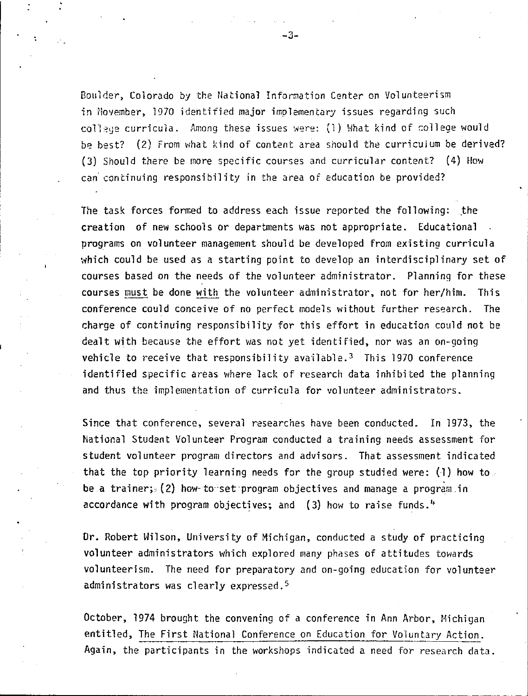Boulder, Colorado by the National Information Center on Volunteerism in November, 1970 identified major implementary issues regarding such college curricula. Among these issues were: (1) What kind of college would be best? (2) From what kind of content area should the curriculum be derived? (3) Should there be more specific courses and curricular content? (4) How can continuing responsibility in the area of education be provided?

The task forces formed to address each issue reported the following: the creation of new schools or departments was not appropriate. Educational programs on volunteer management should be developed from existing curricula which could be used as a starting point to develop an interdisciplinary set of courses based on the needs of the volunteer administrator. Planning for these courses must be done with the volunteer administrator, not for her/him. This conference could conceive of no perfect models without further research. The charge of continuing responsibility for this effort in education could not be dealt with because the effort was not yet identified, nor was an on-going vehicle to receive that responsibility available.<sup>3</sup> This 1970 conference identified specific areas where lack of research data inhibited the planning and thus the implementation of curricula for volunteer administrators.

Since that conference, several researches have been conducted. In 1973, the National Student Volunteer Program conducted a training needs assessment for student volunteer program directors and advisors. That assessment indicated that the top priority learning needs for the group studied were:  $(1)$  how to **be a** trainer; (2) how· to··set·program objectives and manage a program in accordance with program objectives; and (3) how to raise funds.''

Dr. Robert Wilson, University of Michigan, conducted a study of practicing volunteer administrators which explored many phases of attitudes towards volunteerism. The need for preparatory and on-going education for volunteer administrators was clearly expressed.<sup>5</sup>

October, 1974 brought the convening of a conference in Ann Arbor, Michigan entitled, The First National Conference on Education for Voluntary Action. Again, the participants in the workshops indicated a need for research data.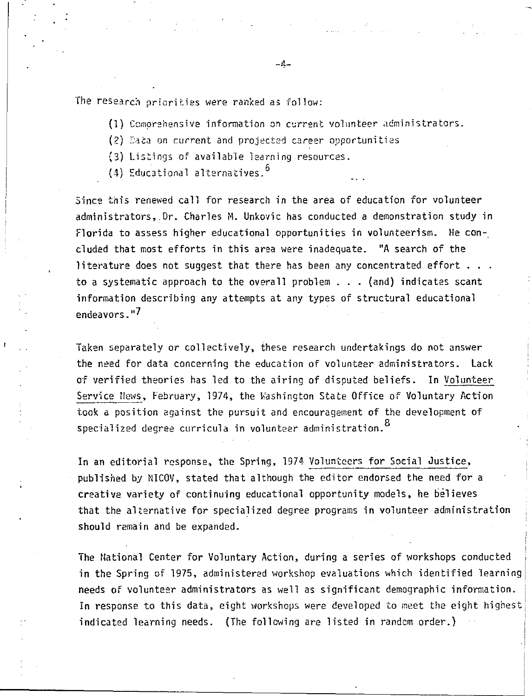The research priorities were ranked as follow:

- (1) Comprehensive information on current volunteer administrators.
- $(2)$  Eata on current and projected career opportunities
- (3) Listings of available learning resources.
- $(4)$  Educational alternatives.<sup>b</sup>

Since this renewed call for research in the area of education for volunteer administrators, Dr. Charles M. Unkovic has conducted a demonstration study in Florida to assess higher educational opportunities in volunteerism. He concluded that most efforts in this area were inadequate. "A search of the **literature does not suggest that there has been any concentrated effort ...** to a systematic approach to the overall problem ... (and) indicates scant information describing any attempts at any types of structural educational endeavors."7

Taken separately or collectively, these research undertakings do not answer the need for data concerning the education of volunteer administrators. Lack of verified theories has led to the airing of disputed beliefs. In Volunteer Service Hews, February, 1974, the Washington State Office of Voluntary Action took a position against the pursuit and encouragement of the development of specialized degree curricula in volunteer administration. $^{\text{8}}$ 

In an editorial response, the Spring, 1974 Volunteers for Social Justice, published by NICOV, stated that although the editor endorsed the need for a creative variety of continuing educational opportunity models, he believes that the alternative for specialized degree programs in volunteer administration should remain and be expanded.

The National Center for Voluntary Action, during a series of workshops conducted in the Spring of 1975, administered workshop evaluations which identified learning needs of volunteer administrators as well as significant demographic information. I<mark>n response to this data, eight</mark> workshops were developed to meet the eight highest indicated learning needs. (The following are listed in randcm order.)

 $-4-$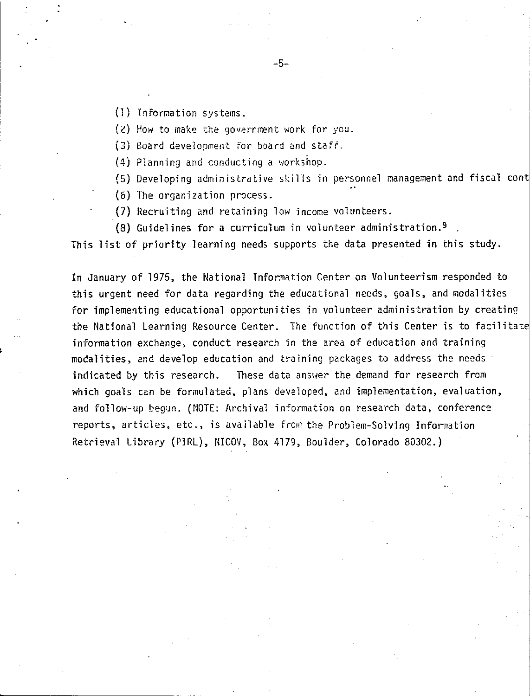(1) information systems.

 $(2)$  How to make the government work for you.

(3) Board development for board and staff.

(4) Planning and conducting a workshop.

(5) Developing administrative skills in personnel management and fiscal cont

(6) The organization process.

(7) Recruiting and retaining low income volunteers.

(8) Guidelines for a curriculum in volunteer administration. <sup>9</sup>

-5-

This list of priority learning needs supports the data presented in this study.

In January of 1975, the National Information Center on Volunteerism responded to this urgent need for data regarding the educational needs, goals, and modalities for implementing educational opportunities in volunteer administration by creating the National Learning Resource Center. The function of this Center is to facilitate information exchange, conduct research in the area of education and training modalities, and develop education and training packages to address the needs indicated by this research. These data answer the demand for research from which goals can be formulated, plans developed, and implementation, evaluation, and follow-up begun. (NOTE: Archival information on research data, conference reports, articles, etc., is available from the Problem-Solving Infonnation Retrieval L'ibrary (PIRL), NICOV, Box 4179, Boulder, Colorado 80302.)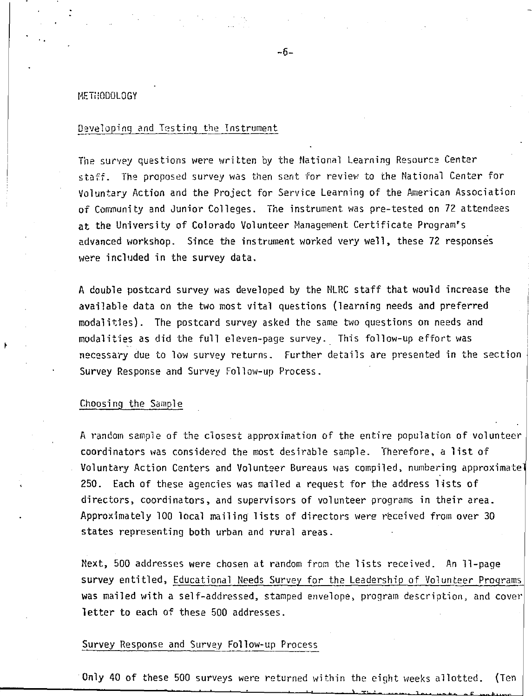#### METilODOLOGY

# Developing and Testing the Instrument

The survey questions were written by the National learning Resource Center staff. The proposed survey was then sent for review to the National Center for Voluntary Action and the Project for Service Learning of the American Association of Community and Junior Colleges. The instrument was pre-tested on 72 attendees at the University of Colorado Volunteer Management Certificate Program's advanced workshop. Since the instrument worked very well, these 72 responses were included in the survey data.

A double postcard survey was developed by the NLRC staff that would increase the available data on the two most vital questions (learning needs and preferred modalities). The postcard survey asked the same two questions on needs and modalities as did the full eleven-page survey.\_ This follow-up effort was necessary due to low survey returns. Further details are presented in the section Survey Response and Survey Follow-up Process.

#### Choosing the Sample

A random sample of the closest approximation of the entire population of volunteer coordinators was considered the most desirable sample. Therefore, a list of Voluntary Action Centers and Volunteer Bureaus was compiled, numbering approximate 250. Each of these agencies was mailed a request for the address lists of directors, coordinators, and supervisors of volunteer programs in their area. Approximately 100 local mailing lists of directors were received from over 30 states representing both urban and rural areas.

Next, 500 addresses were chosen at random from the lists received. An 11-page survey entitled, Educational Needs Survey for the Leadership of Volunteer Programs was mailed with a self-addressed, stamped envelope, program description, and cover letter to each of these 500 addresses.

# Survey Response and Survey Fol low-up Process

Only 40 of these 500 surveys were returned within the eight weeks allotted. (Ten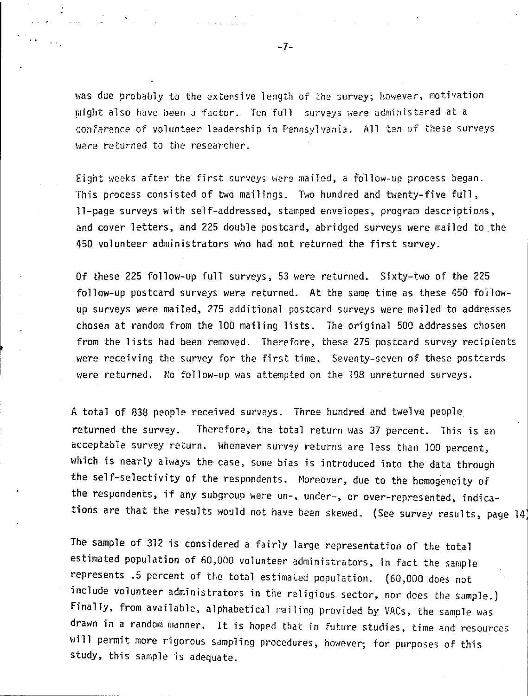was due probably to the extensive length of the survey; however, motivation might also have been a factor. Ten full surveys were administered at a conference of volunteer leadership in Pennsylvania. All ten of these surveys were returned to the researcher.

Eight weeks after the first surveys were mailed, a follow-up process began. This process consisted of two mailings. Two hundred and twenty-five full, 11-page surveys with self-addressed, stamped envelopes, program descriptions, and cover letters, and 225 double postcard, abridged surveys were mailed to the 450 volunteer administrators who had not returned the first survey.

Of these 225 follow-up full surveys, 53 were returned. Sixty-two of the 225 follow-up postcard surveys were returned. At the same time as these 450 followup surveys were mailed, 275 additional postcard surveys were mailed to addresses chosen at random from the 100 mailing lists. The original 500 addresses chosen from the lists had been removed. Therefore, these 275 postcard survey recipients were receiving the survey for the first time. Seventy-seven of these postcards were returned. Mo follow-up was attempted on the 198 unreturned surveys.

A total of 838 people received surveys. Three hundred and twelve people returned the survey. Therefore, the total return was 37 percent. This is an acceptable survey return. Whenever survey returns are less than 100 percent, which is nearly always the case, some bias is introduced into the data through the self-selectivity of the respondents. Moreover, due to the homogeneity of the respondents, if any subgroup were un-, under-, or over-represented, indications are that the results would not have been skewed. (See survey results, page 14)

The sample of 312 is considered a fairly large representation of the total estimated population of 60,000 volunteer administrators, in fact the sample represents .5 percent of the total estimated population. (60,000 does not include volunteer administrators in the religious sector, nor does the sample.) Finally, from available, alphabetical mailing provided by VACs, the sample was drawn in a random manner. It is hoped that in future studies, time and resources will permit more rigorous sampling procedures, however; for purposes of this study, this sample is adequate.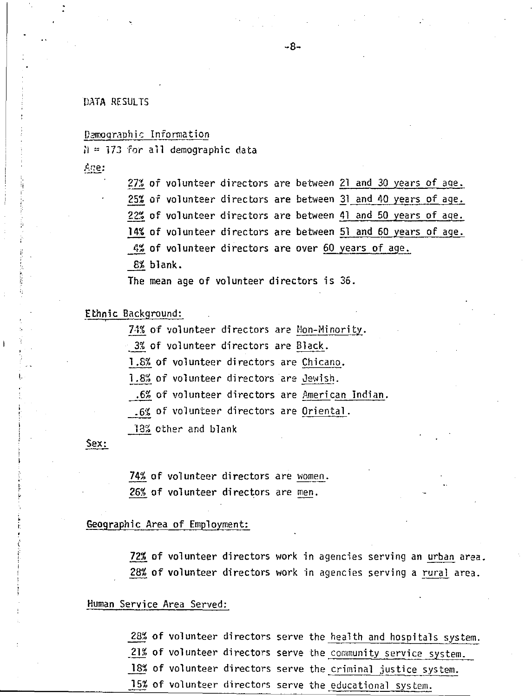# DATA RESULTS

### Demographic Information

 $I = 173$  for all demographic data

Age:

27% of volunteer directors are between 21 and 30 years of age. 25% of volunteer directors are between 31 and 40 years of age. 22% of volunteer directors are between 41 and 50 years of aqe. 14% of volunteer directors are between 51 and 60 years of age. 4% of volunteer directors are over 60 years of age. 8% blank.

The mean age of volunteer directors is 35.

Ethnic Background:<br>74% of volunteer directors are Non-Minority.

3% of volunteer directors are Black.

1.8% of volunteer directors are Chicano.

1.8% of volunteer directors are Jewish .

. 6% of volunteer directors are American Indian .

. 6% of volunteer directors are Oriental.

18% other and blank

# Sex:

**74%** of volunteer directors are women. 26% of volunteer directors are men.

# Geographic Area of Employment:

72% of volunteer directors work in agencies serving an urban area. 28% of volunteer directors work in agencies serving a rural area.

#### Human Service Area Served:

28% of volunteer directors serve the health and hospitals system. .21% of volunteer directors serve the community service system. 18% of volunteer directors serve the criminal justice system. 15% of volunteer directors serve the educational system.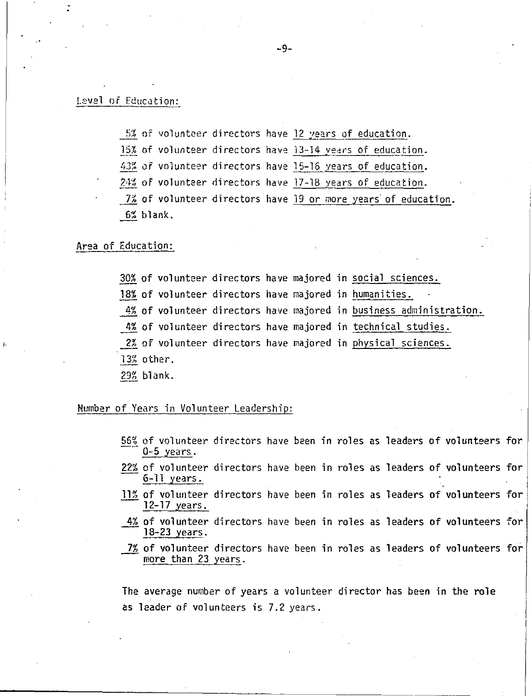### Level of Education:

5% of volunteer directors have 12 years of education. 15% of volunteer directors have 13-14 years of education. 43% of volunteer directors have 15-16 years of education. 24% of volunteer directors have 17-18 vears of education. 7% of volunteer directors have 19 or more years of education. 6% blank.

#### **Area** of Education:

30% of volunteer directors have majored in social sciences. 18% of volunteer directors have majored in humanities. 4% of volunteer directors have majored in business administration. 4% of volunteer directors have majored in technical studies. 2% of volunteer directors have majored in physical sciences. 13% other. 29% blank.

Number of Years in Volunteer Leadership:

- $\frac{56\%}{0.5}$  of volunteer directors have been in roles as leaders of volunteers for<br>0-5 years.
- 22% of volunteer directors have been in roles as leaders of <mark>volunteers for</mark> 6-11 years.
- 11% of volunteer directors have been in roles as leaders of volunteers for 12-17 years.
- $4\%$  of volunteer directors have been in roles as lead<mark>ers of volunt</mark>eers for 18-23 years.
- 7% of volunteer directors have been in roles as leaders of volunteers for more than 23 years.

The average number of years a volunteer director has been in the role as leader of volunteers is 7.2 years.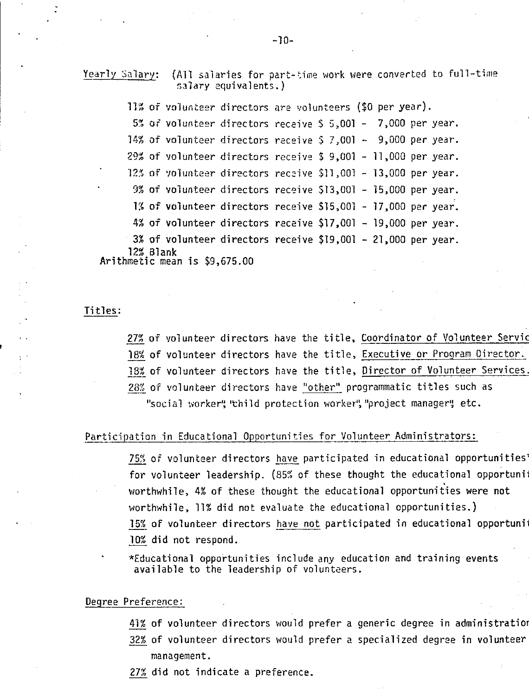Yearly Salary: (AII salaries for part-time work were converted to full-time salary equivalents.)

11% of volunteer directors are volunteers (\$0 per year). 5% of volunteer directors receive  $$5,001 - 7,000$  per year. **14% of volunteer directors receive \$ 7,001 - 9,000 per year.** 29% of volunteer directors receive \$ 9,001 - 11,000 p<mark>er</mark> year. 12% of volunteer directors receive \$11,001 - 13,000 per year. 9% of volunteer directors receive \$13,001 - 15,000 per year.  $1\%$  of volunteer directors receive \$15,001 - 17,000 per year. 4% of volunteer directors receive \$17,001 - 19,000 per year. 3% of volunteer directors receive \$19,001 - 21,000 per year. **12%** Blank

Arithmetic mean is \$9,675.00

#### Titles:

27% of volunteer directors have the title, Coordinator of Volunteer Servic 18% of volunteer directors have the title, Executive or Program Director. 18% of volunteer directors have the title, Director of Volunteer Services. 28% of volunteer directors have "other" programmatic titles such as "social worker", 'thild protection worker", "project manager", etc.

# Participation in Educational Opportunities for Volunteer Administrators:

75% of volunteer directors have participated in educational opportunities' for volunteer leadership. (85% of these thought the educational opportuning worthwhile, 4% of these thought the educational opportunities were not worthwhile, 11% did not evaluate the educational opportunities.} 15% of volunteer directors have not participated in educational opportuni 10% did not respond.

\*Educational opportunities include any education and training events available to the leadership of volunteers.

### Degree Preference:

- 41% of volunteer directors would prefer a generic degree in administratior
- 32% of volunteer directors would prefer a specialized degree in volunteer management.
- 27% did not indicate a preference.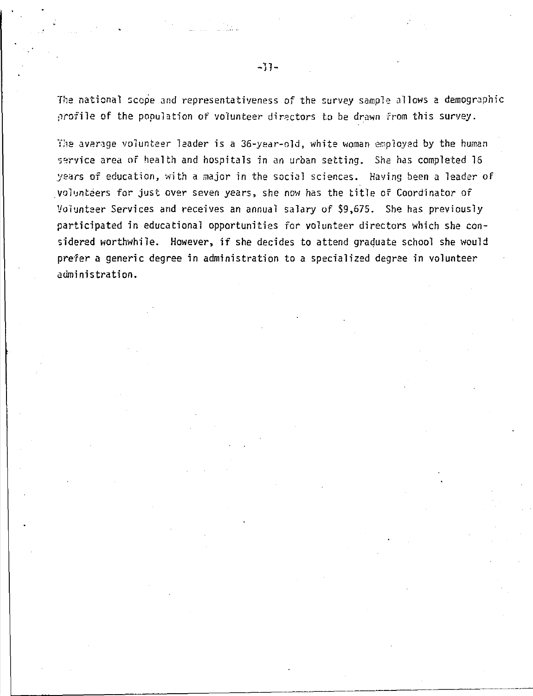The national scope and representativeness of the survey sample allows a demographic profile of the population of volunteer directors to be drawn from this survey.

The average volunteer leader is a 36-year-old, white woman employed by the human service area of health and hospitals in an urban setting. She has completed 16 years of education, with a major in the social sciences. Having been a leader of volunteers for just over seven years, she now has the title of Coordinator of Volunteer Services and receives an annual salary of \$9,675. She has previously participated in educational opportunities for volunteer directors which she considered worthwhile. However, if she decides to attend graduate school she would prefer a generic degree in administration to a specialized degree in volunteer administration.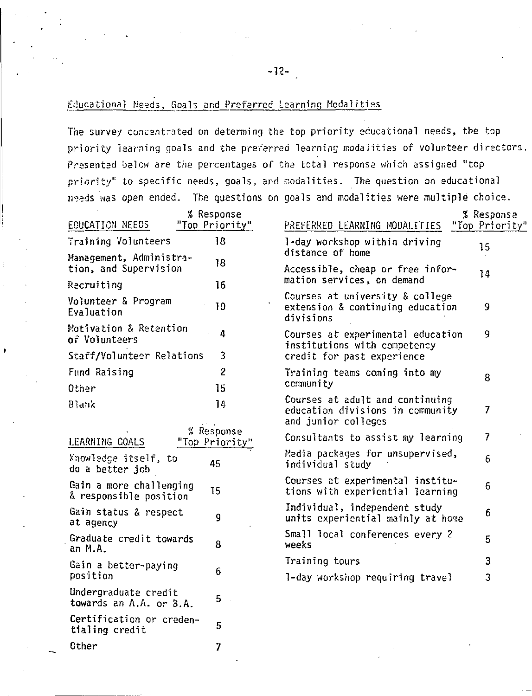# Educational Needs, Goals and Preferred Learning Modalities

The survey concentrated on determing the top priority educational needs, the top priority learning goals and the preferred learning modalities of volunteer directors. Presented below are the percentages of the total response which assigned "top priority" to specific needs, goals, and modalities. The question on educational needs was open ended. The questions on goals and modalities were multiple choice.

| EDUCATION NEEDS                                   | % Response<br>"Top Priority" | PREFERRED LEARNING MODALITIES                                                              | % Response<br>"Top Priority" |
|---------------------------------------------------|------------------------------|--------------------------------------------------------------------------------------------|------------------------------|
| Training Volunteers                               | 18                           | 1-day workshop within driving                                                              |                              |
| Management, Administra-                           |                              | distance of home                                                                           | 15                           |
| tion, and Supervision                             | 18                           | Accessible, cheap or free infor-                                                           | 14                           |
| Recruiting                                        | 16                           | mation services, on demand                                                                 |                              |
| Volunteer & Program<br>Evaluation                 | 10                           | Courses at university & college<br>extension & continuing education<br>divisions           | 9                            |
| Motivation & Retention<br>of Volunteers           | 4                            | Courses at experimental education<br>institutions with competency                          | 9                            |
| Staff/Volunteer Relations                         | 3                            | credit for past experience                                                                 |                              |
| Fund Raising                                      | $\overline{2}$               | Training teams coming into my                                                              | 8                            |
| Other                                             | 15                           | community                                                                                  |                              |
| <b>Blank</b>                                      | 14                           | Courses at adult and continuing<br>education divisions in community<br>and junior colleges | 7                            |
| LEARNING GOALS                                    | % Response<br>"Top Priority" | Consultants to assist my learning                                                          | 7                            |
| Knowledge itself, to<br>do a better job           | 45                           | Media packages for unsupervised,<br>individual study                                       | 6                            |
| Gain a more challenging<br>& responsible position | 15                           | Courses at experimental institu-<br>tions with experiential learning                       | 6                            |
| Gain status & respect<br>at agency                | 9                            | Individual, independent study<br>units experiential mainly at home                         | 6                            |
| Graduate credit towards<br>an M.A.                | 8                            | Small local conferences every 2<br>weeks                                                   | 5                            |
| Gain a better-paying                              |                              | Training tours                                                                             | 3                            |
| position                                          | 6                            | 1-day workshop requiring travel                                                            | 3                            |
| Undergraduate credit                              | c.                           |                                                                                            |                              |

towards an A.A. or B.A. Certification or creden-5 tialing credit Other  $\overline{7}$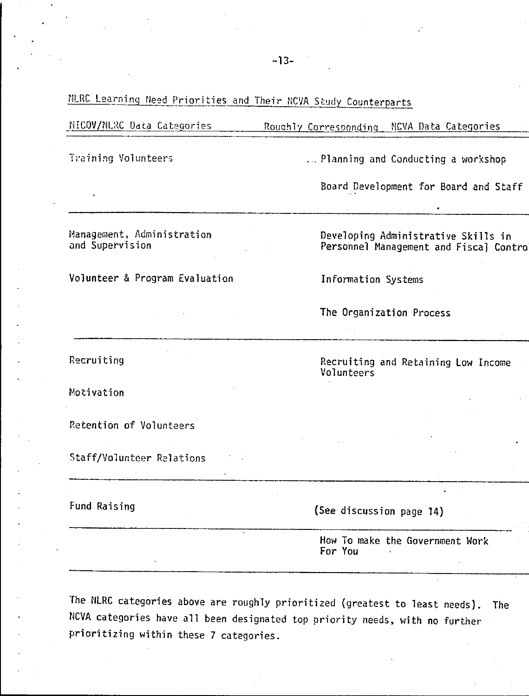# NLRC Learning Need Priorities and Their NCVA Study Counterparts

#### NICOV/NURC Data Categories Roughly Corresponding NCVA Data Categories

Training Volunteers

... Planning and Conducting a workshop

Board Development for Board and Staff

Management, Administration and Supervision

Volunteer & Program Evaluation

Developing Administrative Skills in Personnel Management and Fiscal Contro

Recruiting and Retaining Low Income

Information Systems

Volunteers

The Organization Process

Recruiting

Motivation

Retention of Volunteers

Staff/Volunteer Relations

Fund Raising

(See discussion page 14)

How To make the Government Work For You

The NLRC categories above are roughly prioritized (greatest to least needs). **The** NCVA categories have all been designated top priority needs, with no further prioritizing within these 7 categories.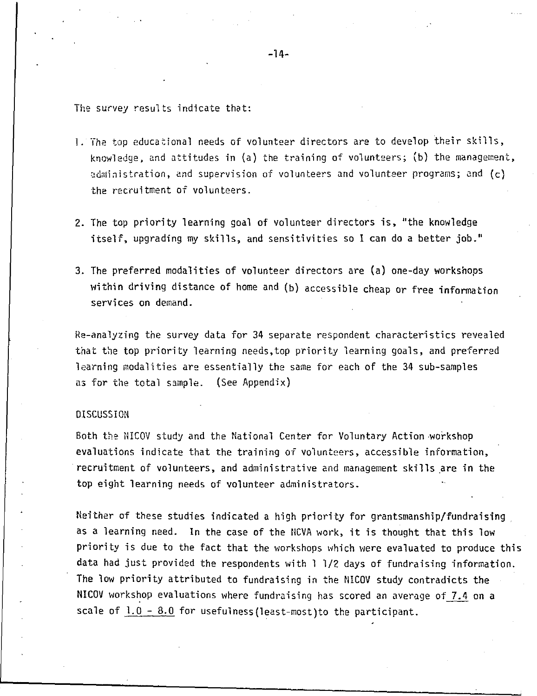The survey resu1ts indicate that:

- 1. The top educational needs of volunteer directors are to develop their skills, knowledge, and attitudes in (a) the training of volunteers; (b) the management, administration, and supervision of volunteers and volunteer programs; and  $(c)$ the recruitment of volunteers.
- 2. The top priority learning goal of volunteer directors is, "the knowledge itself, upgrading my skills, and sensitivities so I can do a better job."
- 3. The preferred modalities of volunteer directors are (a) one-day workshops within driving distance of home and (b) accessible cheap or free infonnation services on demand.

Re-analyzing the survey data for 34 separate respondent characteristics revealed that the top priority learning needs,top priority learning goals, and preferred learning modalities are essentially the same for each of the 34 sub-samples as for the total sample. (See Appendix)

# DISCUSSION

Both the NICOV study and the National Center for Voluntary Action workshop evaluations indicate that the training of volunteers, accessible information, recruitment of volunteers, and administrative and management skills are in the top eight learning needs of volunteer administrators.

Neither of these studies indicated a high priority for grantsmanship/fundraising . as a learning need. In the case of the NCVA work, it is thought that this low priority is due to the fact that the workshops which were evaluated to produce this data had just provided the respondents with l 1/2 days of fundraising information. The low priority attributed to fundraising in the NICOV study contradicts the NICOV workshop evaluations where fundraising has scored an average of  $7.4$  on a scale of  $1.0 - 8.0$  for usefulness (least-most)to the participant.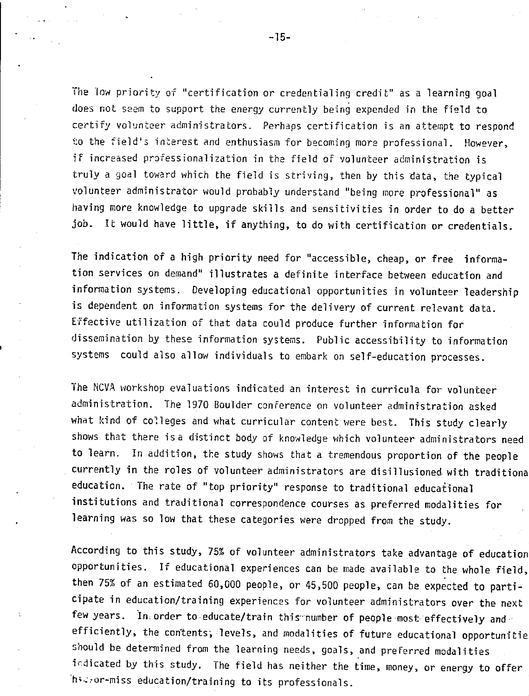The low priority of "certification or credentialing credit" as a learning goal does not seem to support the energy currently being expended in the field to certify volunteer administrators. Perhaps certification is an attempt to respond to the field's interest and enthusiasm for becoming more professional. However, if increased professionalization in the field of volunteer administration is truly a goal toward which the field is striving, then by this data, the typical volunteer administrator would probably understand ''being more professional'' as having more knowledge to upgrade skills and sensitivities in order to do a better job. It would have little, if anything, to do with certification or credentials.

The indication of a high priority need for "accessible, cheap, or free information services on demand" illustrates a definite interface between education and information systems. Developing educational opportunities in volunteer leadership is dependent on information systems for the delivery of current relevant data. Effective utilization of that data could produce further information for dissemination by these information systems. Public accessibility to information systems could also allow individuals to embark on self-education processes.

The NCVA workshop evaluations indicated an interest in curricula for volunteer administration. The 1970 Boulder conference on volunteer administration asked what kind of colleges and what curricular content were best. This study clearly shows that there is a distinct body of knowledge which volunteer administrators need to learn. In addition, the study shows that a tremendous proportion of the people currently in the roles of volunteer administrators are disillusioned. with traditiona education. The rate of "top priority" response to traditional educational institutions and traditional correspondence courses as preferred modalities for learning was so low that these categories were dropped from the study.

According to this study, 75% of volunteer administrators take advantage of education opportunities. If educational experiences can be made available to the whole field, then 75% of an estimated 60,000 people, or 45,500 people, can be expected to participate in education/training experiences for volunteer administrators over the next few years. In order to educate/train this number of people most effectively and  $\cdot$ efficiently, the contents, levels, and modalities of future educational opportunitie should be determined from the learning needs, goals, and preferred modalities frdicated by this study. The field has neither the time, money, or energy to offer ·h•~,or-miss education/training to its professionals.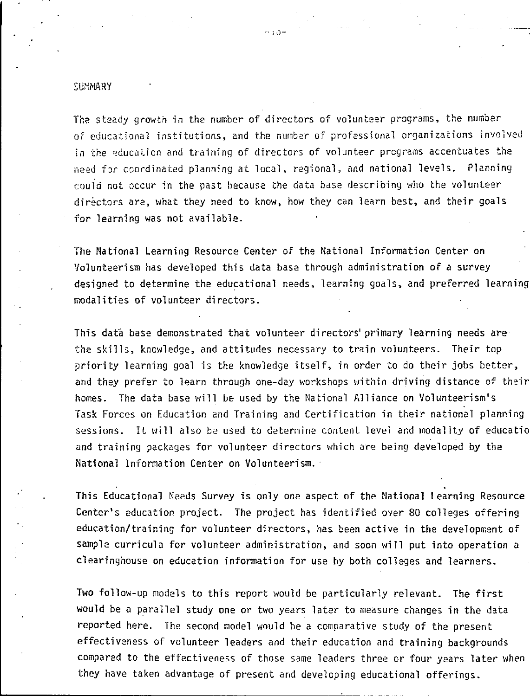#### **SUMMARY**

The steady growth in the number of directors of volunteer programs, the number of educational institutions, and the number of professional organizations involved in the education and training of directors of volunteer programs accentuates the need for coordinated planning at local, regional, and national levels. Planning c0uid not occur in the past because the data base describing who the volunteer directors are, what they need to know, how they can learn best, and their goals for learning was not available.

The National Learning Resource Center of the National Information Center on Volunteerism has developed this data base through administration of a survey designed to determine the educational needs, learning goals, and preferred learning modalities of volunteer directors.

This data base demonstrated that volunteer directors' primary learning needs arethe skills, knowledge, and attitudes necessary to train volunteers. Their top priority learning goal is the knowledge itself, in order to do their jobs better, and they prefer to learn through one-day workshops within driving distance of their homes. The data base will be used by the National Alliance on Volunteerism's Task Forces on Education and Training and Certification in their national planning sessions. It will also be used to determine content level and modality of educatio and training packages for volunteer directors which are being developed by the National Information Center on Volunteerism. ·

This Educational Needs Survey is only one aspect of the National Learning Resource Center's education project. The project has identified over 80 colleges offering education/training for volunteer directors, has been active in the development of sample curricula for volunteer administration, and soon will put into operation a clearinghouse on education information for use by both colleges and learners.

Two follow-up models to this report would be particularly relevant. The first would be a parallel study one or two years later to measure changes in the data reported here. The second model would be a comparative study of the present effectiveness of volunteer leaders and their education and training backgrounds compared to the effectiveness of those same leaders three or four years later when they have taken advantage of present and developing educational offerings.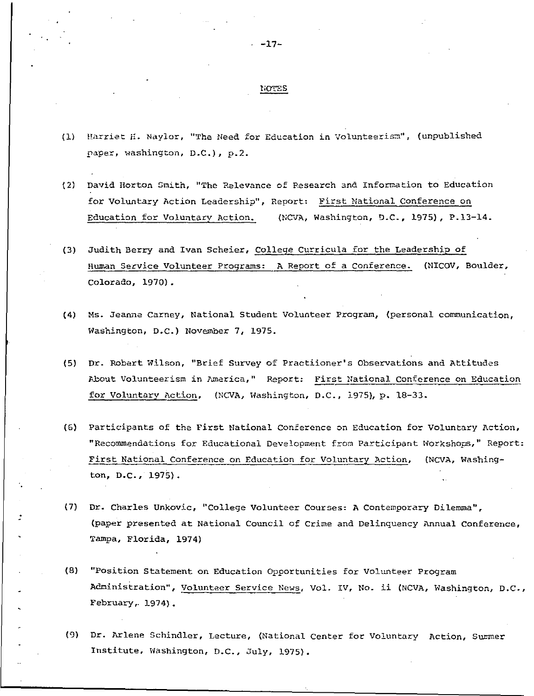# $\frac{\text{normes}}{\text{normes}}$

- (1) Harriet H. Naylor, "The Need for Education in Volunteerism", (unpublished paper, washington, D.C.), p.2.
- (2) David Horton Smith, "The Relevance of Research and Information to Education for Voluntary Action Leadership", Report: First National Conference on Education for Voluntarv Action. (NCVA, Washington, D.C., 1975), P.13-14.
- (3) Judith Berry and Ivan Scheier, College Curricula for the Leadershio of Human Service Volunteer Programs: A Report of a Conference. (NICOV, Boulder, Colorado, 1970).
- (4) Ms. Jeanne Carney, National Student Volunteer Program, (personal communication, Washington, D.C.) November 7, 1975.
- (5) Dr. Robert Wilson, "Brief Survey of Practiioner's Observations and Attitudes About Volunteerism in America," Report: First National Conference on Education for Voluntary Action, (NCVA, Washington, D.C., 1975), p. 18-33.
- (6) Participants of the First National Conference on Education for Voluntary Action, "Recommendations for Educational Development from Participant Workshops," Report: First National Conference on Education for Voluntary Action, (NCVA, Washing ton, D.C., 1975).
- (7) Dr. Charles Unkovic, °College Volunteer Courses: A Contemporary Dilemma", (paper presented at National Council of Crime and Delinquency Annual Conference, Tampa, Florida, 1974)
- (8) "Position Statement on Education Opportunities for Volunteer Program Administration", Volunteer Service News, Vol. IV, No. ii (NCVA, Washington, D.C., February,. 1974).
- (9) Dr. Arlene Schindler, Lecture, (National Center for Voluntary Action, Summer Institute, Washington, D.C., July, 1975).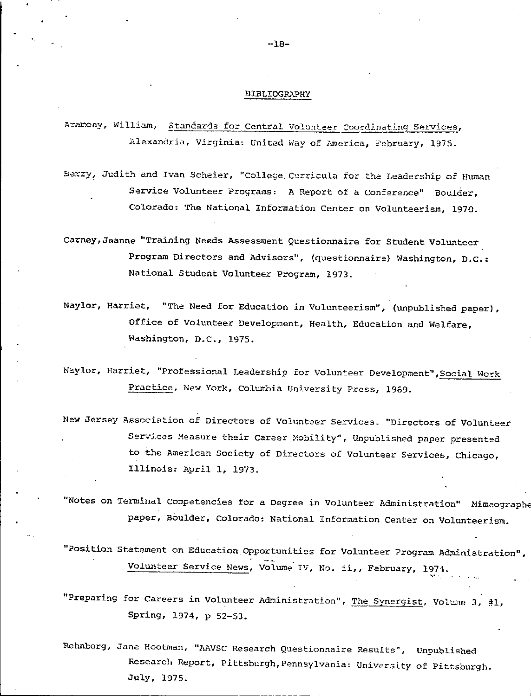#### **BIBLIOGRAPHY**

Azarony, William, Standards for Central Volunteer Coordinating Services, Alexandria, Virginia: United Way of America, Pebruary, 1975.

Berry, Judith and Ivan Scheier, "College Curricula for the Leadership of Human Service Volunteer Programs: A Report of a Conference" Boulder, Colorado: The National Information Center on Volunteerism, 1970.

Carney, Jeanne "Training Needs Assessment Questionnaire for Student Volunteer Program Directors and Advisors", (questionnaire) Washington, D.C.: National Student Volunteer Program, 1973.

Naylor, Harriet, "The Need for Education in Volunteerism", (unpublished paper), Office of Volunteer Development, Health, Education and Welfare, Washington, D.C., 1975.

Naylor, Harriet, "Professional Leadership for Volunteer Development", Social Work Practice, New York, Columbia University Press, 1969.

New Jersey Association of Directors of Volunteer Services. "Directors of Volunteer Services Measure their Career Mobility", Unpublished paper presented to the American Society of Directors of Volunteer Services, Chicago, Illinois: April 1, 1973.

"Notes on Terminal Competencies for a Degree in Volunteer Administration" Mimeographe paper, Boulder, Colorado: National Information Center on Volunteerism.

"Position Statement on Education Opportunities for Volunteer Program Administration", Volunteer Service News, Volume IV, No. ii,, February, 1974.

"Preparing for Careers in Volunteer Administration", The Synergist, Volume 3, #1, Spring, 1974, p 52-53.

Rehnborg, Jane Hootman, "AAVSC Research Questionnaire Results", Unpublished Research Report, Pittsburgh, Pennsylvania: University of Pittsburgh. July, 1975.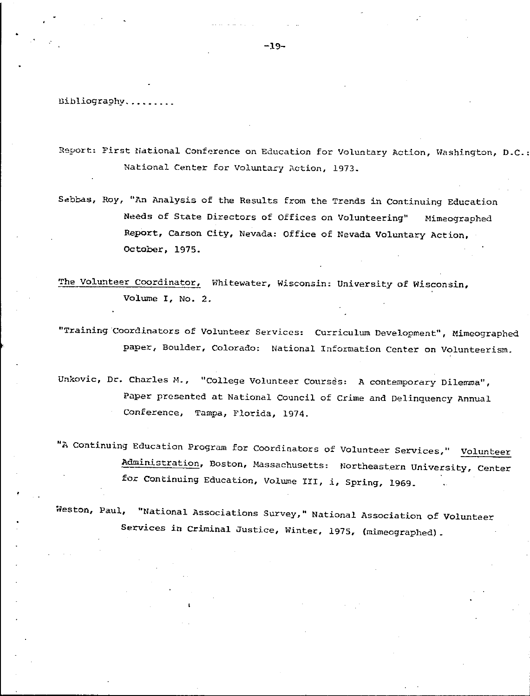Dibliography.........

Report: First National Conference on Education for Voluntary Action, Washington, D.C.: National Center for Voluntary Action, 1973.

Sebbas, Roy, "An Analysis of the Results from the Trends in Continuing Education Needs of State Directors of Offices on Volunteering" Mimeographed Report, Carson City, Nevada: Office of Nevada Voluntary Action, October, 1975.

The Volunteer Coordinator, Whitewater, Wisconsin: University of Wisconsin, Volume I, No. 2.

"Training Coordinators of Volunteer Services: Curriculum Development", Mimeographed paper, Boulder, Colorado: National Information Center on Volunteerism.

Unkovic, Dr. Charles M., "College Volunteer Courses: A contemporary Dilemma", Paper presented at National Council of Crime and Delinquency Annual Conference, Tampa, Florida, 1974.

"A Continuing Education Program for Coordinators of Volunteer Services," Volunteer Administration, Boston, Massachusetts: Northeastern University, Center for Continuing Education, Volume III, i, Spring, 1969.

Weston, Paul, "National Associations Survey," National Association of Volunteer Services in Criminal Justice, Winter, 1975, (mimeographed).